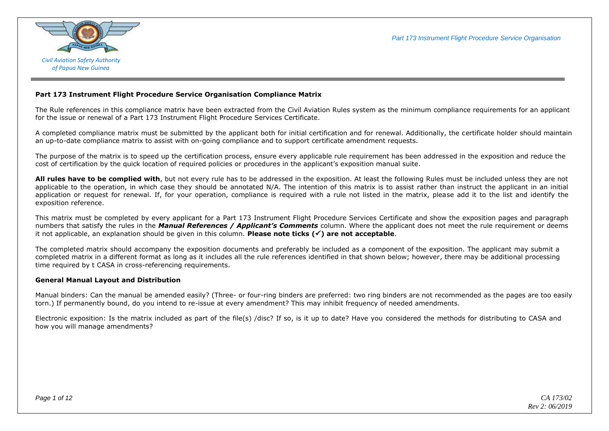

#### **Part 173 Instrument Flight Procedure Service Organisation Compliance Matrix**

The Rule references in this compliance matrix have been extracted from the Civil Aviation Rules system as the minimum compliance requirements for an applicant for the issue or renewal of a Part 173 Instrument Flight Procedure Services Certificate.

A completed compliance matrix must be submitted by the applicant both for initial certification and for renewal. Additionally, the certificate holder should maintain an up-to-date compliance matrix to assist with on-going compliance and to support certificate amendment requests.

The purpose of the matrix is to speed up the certification process, ensure every applicable rule requirement has been addressed in the exposition and reduce the cost of certification by the quick location of required policies or procedures in the applicant's exposition manual suite.

**All rules have to be complied with**, but not every rule has to be addressed in the exposition. At least the following Rules must be included unless they are not applicable to the operation, in which case they should be annotated N/A. The intention of this matrix is to assist rather than instruct the applicant in an initial application or request for renewal. If, for your operation, compliance is required with a rule not listed in the matrix, please add it to the list and identify the exposition reference.

This matrix must be completed by every applicant for a Part 173 Instrument Flight Procedure Services Certificate and show the exposition pages and paragraph numbers that satisfy the rules in the *Manual References / Applicant's Comments* column. Where the applicant does not meet the rule requirement or deems it not applicable, an explanation should be given in this column. **Please note ticks () are not acceptable**.

The completed matrix should accompany the exposition documents and preferably be included as a component of the exposition. The applicant may submit a completed matrix in a different format as long as it includes all the rule references identified in that shown below; however, there may be additional processing time required by t CASA in cross-referencing requirements.

#### **General Manual Layout and Distribution**

Manual binders: Can the manual be amended easily? (Three- or four-ring binders are preferred: two ring binders are not recommended as the pages are too easily torn.) If permanently bound, do you intend to re-issue at every amendment? This may inhibit frequency of needed amendments.

Electronic exposition: Is the matrix included as part of the file(s) /disc? If so, is it up to date? Have you considered the methods for distributing to CASA and how you will manage amendments?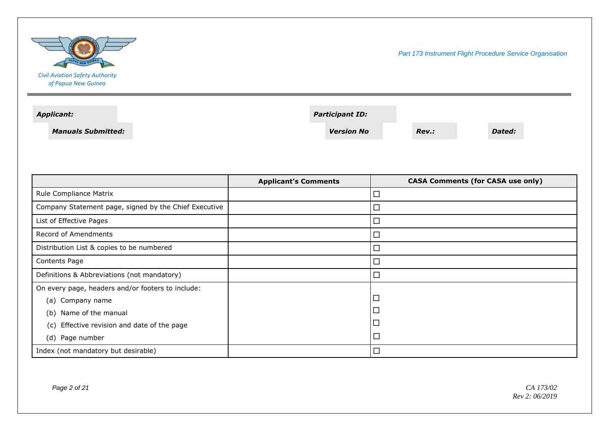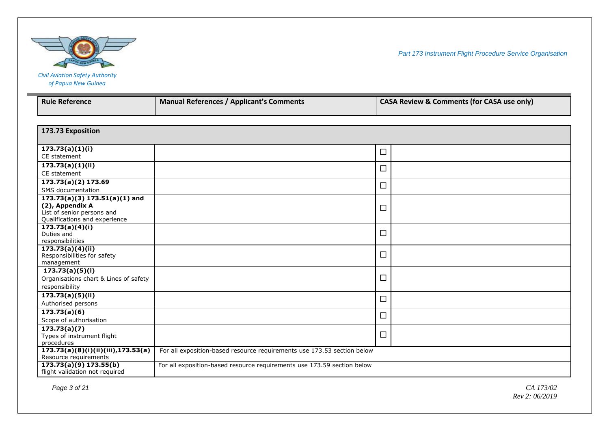

| <b>Civil Aviation Safety Authority</b> |  |
|----------------------------------------|--|
| of Papua New Guinea                    |  |

| <b>Rule Reference</b>                                       | <b>Manual References / Applicant's Comments</b>                         | <b>CASA Review &amp; Comments (for CASA use only)</b> |  |
|-------------------------------------------------------------|-------------------------------------------------------------------------|-------------------------------------------------------|--|
|                                                             |                                                                         |                                                       |  |
| 173.73 Exposition                                           |                                                                         |                                                       |  |
|                                                             |                                                                         |                                                       |  |
| 173.73(a)(1)(i)<br>CE statement                             |                                                                         | $\Box$                                                |  |
| 173.73(a)(1)(ii)                                            |                                                                         | $\Box$                                                |  |
| CE statement                                                |                                                                         |                                                       |  |
| 173.73(a)(2) 173.69                                         |                                                                         | $\Box$                                                |  |
| SMS documentation                                           |                                                                         |                                                       |  |
| $173.73(a)(3) 173.51(a)(1)$ and                             |                                                                         |                                                       |  |
| (2), Appendix A                                             |                                                                         | $\Box$                                                |  |
| List of senior persons and<br>Qualifications and experience |                                                                         |                                                       |  |
| 173.73(a)(4)(i)                                             |                                                                         |                                                       |  |
| Duties and                                                  |                                                                         | $\Box$                                                |  |
| responsibilities                                            |                                                                         |                                                       |  |
| 173.73(a)(4)(ii)                                            |                                                                         |                                                       |  |
| Responsibilities for safety                                 |                                                                         | $\Box$                                                |  |
| management                                                  |                                                                         |                                                       |  |
| 173.73(a)(5)(i)                                             |                                                                         | $\Box$                                                |  |
| Organisations chart & Lines of safety                       |                                                                         |                                                       |  |
| responsibility                                              |                                                                         |                                                       |  |
| $\overline{173.73(a)(5)(ii)}$                               |                                                                         | $\Box$                                                |  |
| Authorised persons                                          |                                                                         |                                                       |  |
| 173.73(a)(6)                                                |                                                                         | $\Box$                                                |  |
| Scope of authorisation                                      |                                                                         |                                                       |  |
| $\overline{173.73(a)(7)}$<br>Types of instrument flight     |                                                                         | $\Box$                                                |  |
| procedures                                                  |                                                                         |                                                       |  |
| 173.73(a)(8)(i)(ii)(iii),173.53(a)                          | For all exposition-based resource requirements use 173.53 section below |                                                       |  |
| Resource requirements                                       |                                                                         |                                                       |  |
| 173.73(a)(9) 173.55(b)                                      | For all exposition-based resource requirements use 173.59 section below |                                                       |  |
| flight validation not required                              |                                                                         |                                                       |  |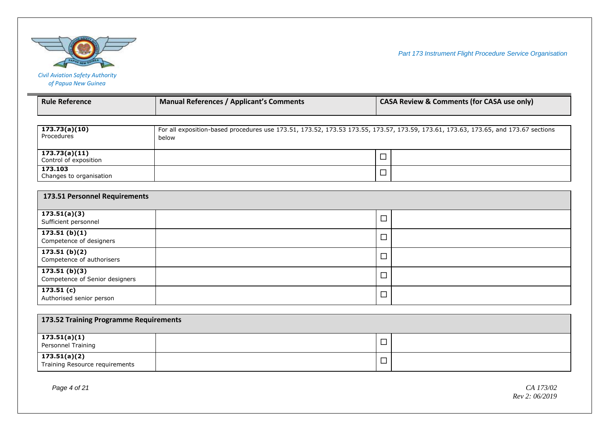

| <b>Civil Aviation Safety Authority</b> |
|----------------------------------------|
| of Papua New Guinea                    |

| <b>Rule Reference</b>                          | <b>Manual References / Applicant's Comments</b>                                                                                             |        | <b>CASA Review &amp; Comments (for CASA use only)</b> |
|------------------------------------------------|---------------------------------------------------------------------------------------------------------------------------------------------|--------|-------------------------------------------------------|
|                                                |                                                                                                                                             |        |                                                       |
| 173.73(a)(10)<br>Procedures                    | For all exposition-based procedures use 173.51, 173.52, 173.53 173.55, 173.57, 173.59, 173.61, 173.63, 173.65, and 173.67 sections<br>below |        |                                                       |
| 173.73(a)(11)<br>Control of exposition         |                                                                                                                                             | $\Box$ |                                                       |
| 173.103<br>Changes to organisation             |                                                                                                                                             | $\Box$ |                                                       |
| 173.51 Personnel Requirements                  |                                                                                                                                             |        |                                                       |
| 173.51(a)(3)<br>Sufficient personnel           |                                                                                                                                             | $\Box$ |                                                       |
| 173.51(b)(1)<br>Competence of designers        |                                                                                                                                             | $\Box$ |                                                       |
| 173.51(b)(2)<br>Competence of authorisers      |                                                                                                                                             | $\Box$ |                                                       |
| 173.51(b)(3)<br>Competence of Senior designers |                                                                                                                                             | □      |                                                       |
| 173.51(c)<br>Authorised senior person          |                                                                                                                                             | $\Box$ |                                                       |
| 173.52 Training Programme Requirements         |                                                                                                                                             |        |                                                       |
| 173.51(a)(1)                                   |                                                                                                                                             |        |                                                       |
| Personnel Training                             |                                                                                                                                             | $\Box$ |                                                       |
| 173.51(a)(2)                                   |                                                                                                                                             | $\Box$ |                                                       |

173.51(a)(2)  $\Box$  Training Resource requirements  $\Box$ 

*Page 4 of 21 CA 173/02 Rev 2: 06/2019*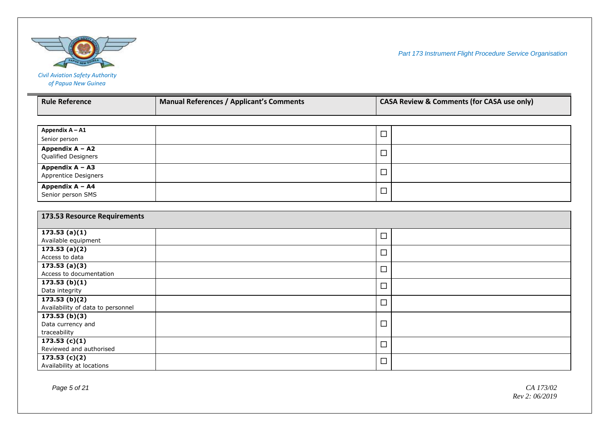

| <b>Rule Reference</b>                     | <b>Manual References / Applicant's Comments</b> |        | <b>CASA Review &amp; Comments (for CASA use only)</b> |
|-------------------------------------------|-------------------------------------------------|--------|-------------------------------------------------------|
|                                           |                                                 |        |                                                       |
| Appendix A - A1                           |                                                 | $\Box$ |                                                       |
| Senior person                             |                                                 |        |                                                       |
| Appendix A - A2                           |                                                 | $\Box$ |                                                       |
| Qualified Designers                       |                                                 |        |                                                       |
| Appendix A - A3                           |                                                 | $\Box$ |                                                       |
| Apprentice Designers                      |                                                 |        |                                                       |
| Appendix A - A4                           |                                                 | $\Box$ |                                                       |
| Senior person SMS                         |                                                 |        |                                                       |
| 173.53 Resource Requirements              |                                                 |        |                                                       |
| 173.53(a)(1)                              |                                                 |        |                                                       |
| Available equipment                       |                                                 | $\Box$ |                                                       |
| 173.53(a)(2)                              |                                                 | $\Box$ |                                                       |
| Access to data                            |                                                 |        |                                                       |
| 173.53(a)(3)                              |                                                 | $\Box$ |                                                       |
| Access to documentation                   |                                                 |        |                                                       |
| 173.53(b)(1)<br>Data integrity            |                                                 | $\Box$ |                                                       |
| 173.53(b)(2)                              |                                                 |        |                                                       |
| Availability of data to personnel         |                                                 | $\Box$ |                                                       |
| 173.53(b)(3)                              |                                                 |        |                                                       |
| Data currency and                         |                                                 | $\Box$ |                                                       |
| traceability                              |                                                 |        |                                                       |
| $\overline{173.53}$ (c)(1)                |                                                 | $\Box$ |                                                       |
| Reviewed and authorised                   |                                                 |        |                                                       |
| 173.53(c)(2)<br>Availability at locations |                                                 | $\Box$ |                                                       |
|                                           |                                                 |        |                                                       |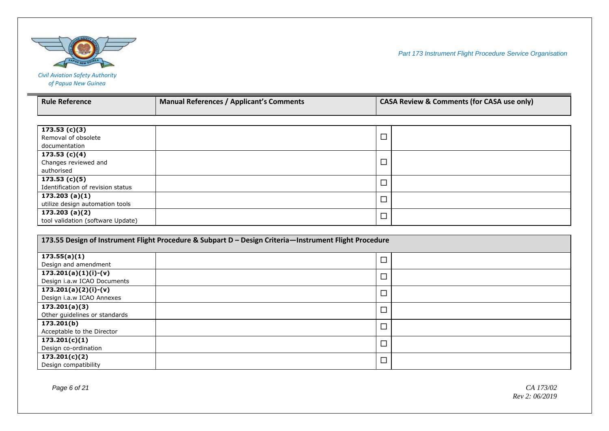

| <b>Rule Reference</b>                                | <b>Manual References / Applicant's Comments</b> | <b>CASA Review &amp; Comments (for CASA use only)</b> |  |
|------------------------------------------------------|-------------------------------------------------|-------------------------------------------------------|--|
|                                                      |                                                 |                                                       |  |
| 173.53(c)(3)<br>Removal of obsolete<br>documentation |                                                 | ᆸ                                                     |  |
| 173.53(c)(4)<br>Changes reviewed and<br>authorised   |                                                 | ᆸ                                                     |  |
| 173.53(c)(5)<br>Identification of revision status    |                                                 | ᆸ                                                     |  |
| 173.203(a)(1)<br>utilize design automation tools     |                                                 | ᆸ                                                     |  |
| 173.203(a)(2)<br>tool validation (software Update)   |                                                 | ᆸ                                                     |  |

| 173.55 Design of Instrument Flight Procedure & Subpart D - Design Criteria-Instrument Flight Procedure |        |  |  |
|--------------------------------------------------------------------------------------------------------|--------|--|--|
| 173.55(a)(1)                                                                                           |        |  |  |
| Design and amendment                                                                                   | ᆜ      |  |  |
| $173.201(a)(1)(i)-(v)$                                                                                 | $\Box$ |  |  |
| Design i.a.w ICAO Documents                                                                            |        |  |  |
| $173.201(a)(2)(i)-(v)$                                                                                 |        |  |  |
| Design i.a.w ICAO Annexes                                                                              |        |  |  |
| 173.201(a)(3)                                                                                          | $\Box$ |  |  |
| Other guidelines or standards                                                                          |        |  |  |
| 173.201(b)                                                                                             |        |  |  |
| Acceptable to the Director                                                                             | ⊔      |  |  |
| 173.201(c)(1)                                                                                          | $\Box$ |  |  |
| Design co-ordination                                                                                   |        |  |  |
| 173.201(c)(2)                                                                                          | $\Box$ |  |  |
| Design compatibility                                                                                   |        |  |  |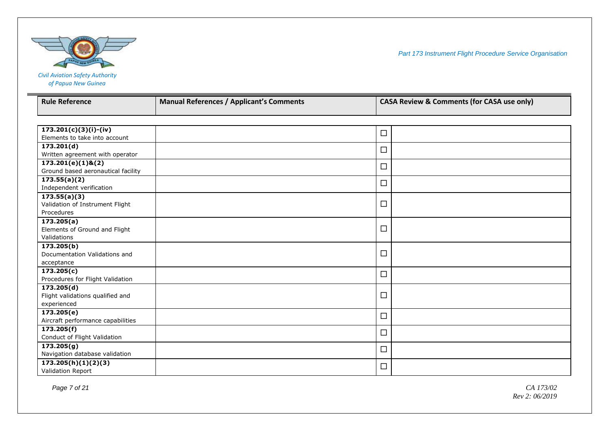

*of Papua New Guinea*

| <b>Rule Reference</b>                                      | <b>Manual References / Applicant's Comments</b> |        | <b>CASA Review &amp; Comments (for CASA use only)</b> |
|------------------------------------------------------------|-------------------------------------------------|--------|-------------------------------------------------------|
|                                                            |                                                 |        |                                                       |
| $173.201(c)(3)(i)-(iv)$                                    |                                                 | $\Box$ |                                                       |
| Elements to take into account                              |                                                 |        |                                                       |
| 173.201(d)                                                 |                                                 | $\Box$ |                                                       |
| Written agreement with operator                            |                                                 |        |                                                       |
| $173.201(e)(1)$ &(2)<br>Ground based aeronautical facility |                                                 | $\Box$ |                                                       |
| 173.55(a)(2)                                               |                                                 |        |                                                       |
| Independent verification                                   |                                                 | $\Box$ |                                                       |
| 173.55(a)(3)                                               |                                                 |        |                                                       |
| Validation of Instrument Flight                            |                                                 | $\Box$ |                                                       |
| Procedures                                                 |                                                 |        |                                                       |
| 173.205(a)                                                 |                                                 |        |                                                       |
| Elements of Ground and Flight                              |                                                 | $\Box$ |                                                       |
| Validations                                                |                                                 |        |                                                       |
| 173.205(b)                                                 |                                                 | $\Box$ |                                                       |
| Documentation Validations and<br>acceptance                |                                                 |        |                                                       |
| 173.205(c)                                                 |                                                 |        |                                                       |
| Procedures for Flight Validation                           |                                                 | $\Box$ |                                                       |
| 173.205(d)                                                 |                                                 |        |                                                       |
| Flight validations qualified and                           |                                                 | $\Box$ |                                                       |
| experienced                                                |                                                 |        |                                                       |
| 173.205(e)                                                 |                                                 | $\Box$ |                                                       |
| Aircraft performance capabilities                          |                                                 |        |                                                       |
| 173.205(f)                                                 |                                                 | $\Box$ |                                                       |
| Conduct of Flight Validation                               |                                                 |        |                                                       |
| 173.205(g)                                                 |                                                 | $\Box$ |                                                       |
| Navigation database validation                             |                                                 |        |                                                       |
| 173.205(h)(1)(2)(3)                                        |                                                 | $\Box$ |                                                       |
| Validation Report                                          |                                                 |        |                                                       |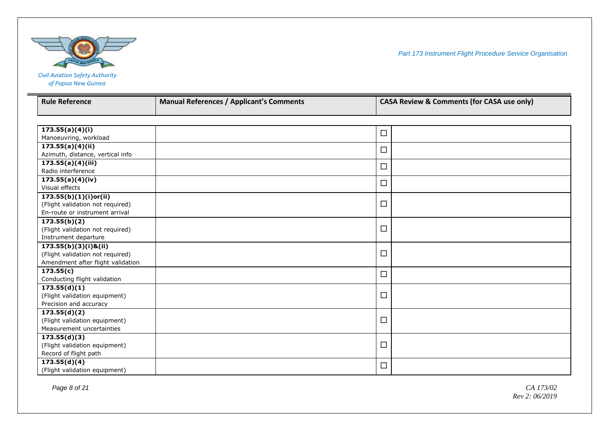

| <b>Civil Aviation Safety Authority</b> |
|----------------------------------------|
| of Papua New Guinea                    |

| <b>Rule Reference</b>             | <b>Manual References / Applicant's Comments</b> | <b>CASA Review &amp; Comments (for CASA use only)</b> |  |
|-----------------------------------|-------------------------------------------------|-------------------------------------------------------|--|
|                                   |                                                 |                                                       |  |
|                                   |                                                 |                                                       |  |
| 173.55(a)(4)(i)                   |                                                 | $\Box$                                                |  |
| Manoeuvring, workload             |                                                 |                                                       |  |
| 173.55(a)(4)(ii)                  |                                                 | $\Box$                                                |  |
| Azimuth, distance, vertical info  |                                                 |                                                       |  |
| 173.55(a)(4)(iii)                 |                                                 | $\Box$                                                |  |
| Radio interference                |                                                 |                                                       |  |
| $\overline{173.55(a)(4)(iv)}$     |                                                 | $\Box$                                                |  |
| Visual effects                    |                                                 |                                                       |  |
| 173.55(b)(1)(i)or(ii)             |                                                 |                                                       |  |
| (Flight validation not required)  |                                                 | $\Box$                                                |  |
| En-route or instrument arrival    |                                                 |                                                       |  |
| 173.55(b)(2)                      |                                                 |                                                       |  |
| (Flight validation not required)  |                                                 | $\Box$                                                |  |
| Instrument departure              |                                                 |                                                       |  |
| 173.55(b)(3)(i)&(ii)              |                                                 |                                                       |  |
| (Flight validation not required)  |                                                 | $\Box$                                                |  |
| Amendment after flight validation |                                                 |                                                       |  |
| 173.55(c)                         |                                                 | $\Box$                                                |  |
| Conducting flight validation      |                                                 |                                                       |  |
| 173.55(d)(1)                      |                                                 |                                                       |  |
| (Flight validation equipment)     |                                                 | $\Box$                                                |  |
| Precision and accuracy            |                                                 |                                                       |  |
| 173.55(d)(2)                      |                                                 |                                                       |  |
| (Flight validation equipment)     |                                                 | $\Box$                                                |  |
| Measurement uncertainties         |                                                 |                                                       |  |
| 173.55(d)(3)                      |                                                 |                                                       |  |
| (Flight validation equipment)     |                                                 | $\Box$                                                |  |
| Record of flight path             |                                                 |                                                       |  |
| 173.55(d)(4)                      |                                                 | $\Box$                                                |  |
| (Flight validation equipment)     |                                                 |                                                       |  |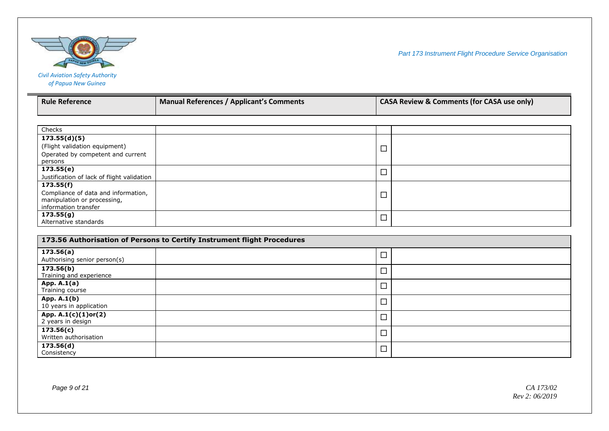

| <b>Rule Reference</b>                      | <b>Manual References / Applicant's Comments</b> | <b>CASA Review &amp; Comments (for CASA use only)</b> |  |
|--------------------------------------------|-------------------------------------------------|-------------------------------------------------------|--|
|                                            |                                                 |                                                       |  |
|                                            |                                                 |                                                       |  |
| Checks                                     |                                                 |                                                       |  |
| 173.55(d)(5)                               |                                                 |                                                       |  |
| (Flight validation equipment)              |                                                 |                                                       |  |
| Operated by competent and current          |                                                 |                                                       |  |
| persons                                    |                                                 |                                                       |  |
| 173.55(e)                                  |                                                 |                                                       |  |
| Justification of lack of flight validation |                                                 | ┙                                                     |  |
| 173.55(f)                                  |                                                 |                                                       |  |
| Compliance of data and information,        |                                                 | ┍                                                     |  |

| Compliance of data and information, | – |  |
|-------------------------------------|---|--|
| manipulation or processing,         | _ |  |
| information transfer                |   |  |
| 173.55(g)                           | — |  |
| Alternative standards               | _ |  |
|                                     |   |  |

| 173.56 Authorisation of Persons to Certify Instrument flight Procedures |                          |  |
|-------------------------------------------------------------------------|--------------------------|--|
| 173.56(a)<br>Authorising senior person(s)                               | $\overline{\phantom{a}}$ |  |
| 173.56(b)<br>Training and experience                                    | $\Box$                   |  |
| App. A.1(a)<br>Training course                                          | $\Box$                   |  |
| App. A.1(b)<br>10 years in application                                  | $\Box$                   |  |
| App. A.1(c)(1)or(2)<br>2 years in design                                | $\overline{\phantom{a}}$ |  |
| 173.56(c)<br>Written authorisation                                      | $\Box$                   |  |
| 173.56(d)<br>Consistency                                                | $\Box$                   |  |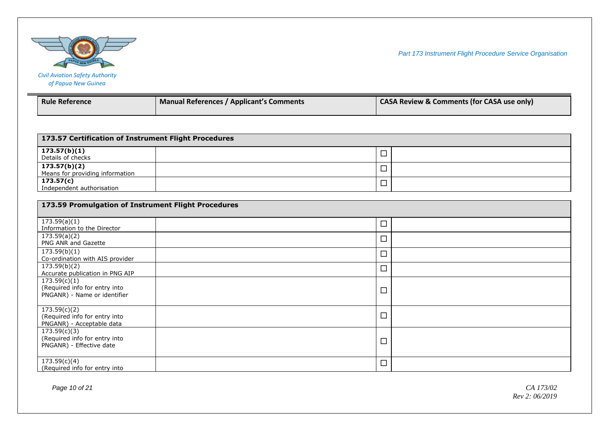

| <b>Civil Aviation Safety Authority</b> |
|----------------------------------------|
| of Papua New Guinea                    |

| <b>Rule Reference</b>                                                         | <b>Manual References / Applicant's Comments</b>     | <b>CASA Review &amp; Comments (for CASA use only)</b> |  |
|-------------------------------------------------------------------------------|-----------------------------------------------------|-------------------------------------------------------|--|
|                                                                               |                                                     |                                                       |  |
| 173.57 Certification of Instrument Flight Procedures                          |                                                     |                                                       |  |
| 173.57(b)(1)<br>Details of checks                                             |                                                     | $\Box$                                                |  |
| 173.57(b)(2)<br>Means for providing information                               |                                                     | □                                                     |  |
| 173.57(c)<br>Independent authorisation                                        |                                                     | □                                                     |  |
|                                                                               | 173.59 Promulgation of Instrument Flight Procedures |                                                       |  |
| $\overline{173.59(a)(1)}$<br>Information to the Director                      |                                                     | □                                                     |  |
| 173.59(a)(2)<br>PNG ANR and Gazette                                           |                                                     | $\Box$                                                |  |
| 173.59(b)(1)<br>Co-ordination with AIS provider                               |                                                     | □                                                     |  |
| 173.59(b)(2)<br>Accurate publication in PNG AIP                               |                                                     | □                                                     |  |
| 173.59(c)(1)<br>(Required info for entry into<br>PNGANR) - Name or identifier |                                                     | □                                                     |  |
| 173.59(c)(2)<br>(Required info for entry into<br>PNGANR) - Acceptable data    |                                                     | □                                                     |  |
| 173.59(c)(3)<br>(Required info for entry into<br>PNGANR) - Effective date     |                                                     | □                                                     |  |
| 173.59(c)(4)<br>(Required info for entry into                                 |                                                     | □                                                     |  |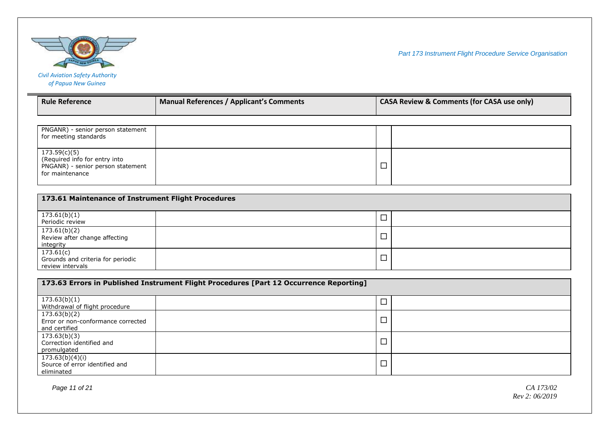

| <b>Rule Reference</b>                                                                                 | <b>Manual References / Applicant's Comments</b> | <b>CASA Review &amp; Comments (for CASA use only)</b> |
|-------------------------------------------------------------------------------------------------------|-------------------------------------------------|-------------------------------------------------------|
|                                                                                                       |                                                 |                                                       |
| PNGANR) - senior person statement<br>for meeting standards                                            |                                                 |                                                       |
| 173.59(c)(5)<br>(Required info for entry into<br>PNGANR) - senior person statement<br>for maintenance |                                                 |                                                       |

| 173.61 Maintenance of Instrument Flight Procedures                 |   |  |  |
|--------------------------------------------------------------------|---|--|--|
| 173.61(b)(1)<br>Periodic review                                    | ᆸ |  |  |
| 173.61(b)(2)<br>Review after change affecting<br>integrity         | ᆸ |  |  |
| 173.61(c)<br>Grounds and criteria for periodic<br>review intervals | ᆸ |  |  |

| 173.63 Errors in Published Instrument Flight Procedures [Part 12 Occurrence Reporting] |  |        |  |
|----------------------------------------------------------------------------------------|--|--------|--|
| 173.63(b)(1)<br>Withdrawal of flight procedure                                         |  |        |  |
| 173.63(b)(2)<br>Error or non-conformance corrected<br>and certified                    |  |        |  |
| 173.63(b)(3)<br>Correction identified and<br>promulgated                               |  | $\Box$ |  |
| 173.63(b)(4)(i)<br>Source of error identified and<br>eliminated                        |  | $\Box$ |  |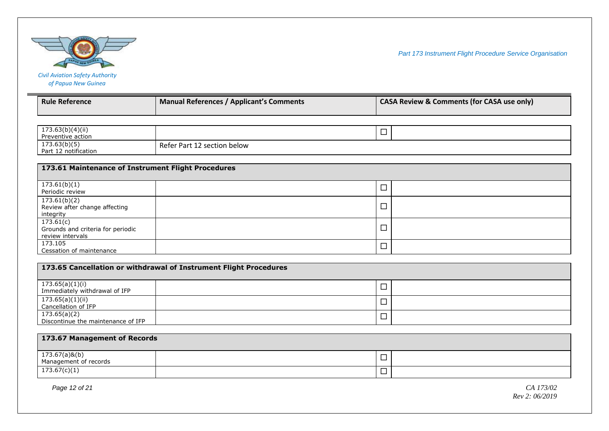

| <b>Civil Aviation Safety Authority</b> |
|----------------------------------------|
| of Papua New Guinea                    |

| <b>Rule Reference</b>                                              | <b>Manual References / Applicant's Comments</b>                   | <b>CASA Review &amp; Comments (for CASA use only)</b> |  |
|--------------------------------------------------------------------|-------------------------------------------------------------------|-------------------------------------------------------|--|
|                                                                    |                                                                   |                                                       |  |
| $\overline{173.63(b)(4)(ii)}$<br>Preventive action                 |                                                                   | $\Box$                                                |  |
| 173.63(b)(5)<br>Part 12 notification                               | Refer Part 12 section below                                       |                                                       |  |
| 173.61 Maintenance of Instrument Flight Procedures                 |                                                                   |                                                       |  |
| 173.61(b)(1)<br>Periodic review                                    |                                                                   | $\Box$                                                |  |
| 173.61(b)(2)<br>Review after change affecting<br>integrity         |                                                                   | □                                                     |  |
| 173.61(c)<br>Grounds and criteria for periodic<br>review intervals |                                                                   | $\Box$                                                |  |
| 173.105<br>Cessation of maintenance                                |                                                                   | $\Box$                                                |  |
|                                                                    | 173.65 Cancellation or withdrawal of Instrument Flight Procedures |                                                       |  |
| 173.65(a)(1)(i)<br>Immediately withdrawal of IFP                   |                                                                   | $\Box$                                                |  |
| 173.65(a)(1)(ii)<br>Cancellation of IFP                            |                                                                   | $\Box$                                                |  |
| 173.65(a)(2)<br>Discontinue the maintenance of IFP                 |                                                                   | $\Box$                                                |  |
|                                                                    |                                                                   |                                                       |  |
| 173.67 Management of Records                                       |                                                                   |                                                       |  |
| 173.67(a)&(b)<br>Management of records                             |                                                                   | $\Box$                                                |  |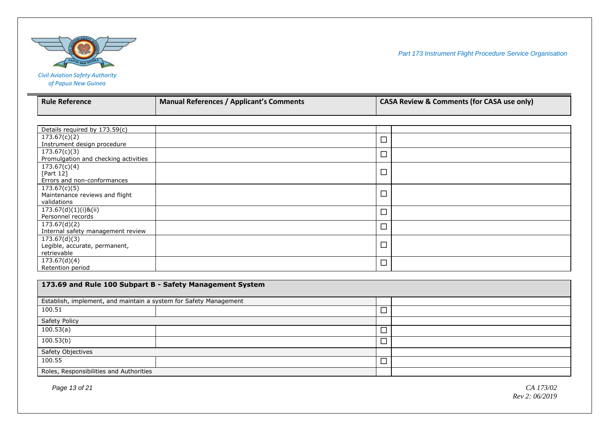

| <b>Civil Aviation Safety Authority</b> |
|----------------------------------------|
| of Papua New Guinea                    |

| <b>Rule Reference</b>                                    | <b>Manual References / Applicant's Comments</b> |        | <b>CASA Review &amp; Comments (for CASA use only)</b> |  |
|----------------------------------------------------------|-------------------------------------------------|--------|-------------------------------------------------------|--|
|                                                          |                                                 |        |                                                       |  |
|                                                          |                                                 |        |                                                       |  |
| Details required by 173.59(c)                            |                                                 |        |                                                       |  |
| 173.67(c)(2)                                             |                                                 | $\Box$ |                                                       |  |
| Instrument design procedure                              |                                                 |        |                                                       |  |
| 173.67(c)(3)                                             |                                                 | $\Box$ |                                                       |  |
| Promulgation and checking activities                     |                                                 |        |                                                       |  |
| 173.67(c)(4)                                             |                                                 |        |                                                       |  |
| [Part 12]                                                |                                                 | $\Box$ |                                                       |  |
| Errors and non-conformances                              |                                                 |        |                                                       |  |
| 173.67(c)(5)                                             |                                                 |        |                                                       |  |
| Maintenance reviews and flight                           |                                                 | $\Box$ |                                                       |  |
| validations                                              |                                                 |        |                                                       |  |
| 173.67(d)(1)(i)&(ii)                                     |                                                 | $\Box$ |                                                       |  |
| Personnel records                                        |                                                 |        |                                                       |  |
| 173.67(d)(2)                                             |                                                 | $\Box$ |                                                       |  |
| Internal safety management review                        |                                                 |        |                                                       |  |
| 173.67(d)(3)                                             |                                                 | $\Box$ |                                                       |  |
| Legible, accurate, permanent,                            |                                                 |        |                                                       |  |
| retrievable                                              |                                                 |        |                                                       |  |
| 173.67(d)(4)                                             |                                                 | $\Box$ |                                                       |  |
| Retention period                                         |                                                 |        |                                                       |  |
|                                                          |                                                 |        |                                                       |  |
| 173.69 and Rule 100 Subpart B - Safety Management System |                                                 |        |                                                       |  |

| Establish, implement, and maintain a system for Safety Management |  |        |  |
|-------------------------------------------------------------------|--|--------|--|
| 100.51                                                            |  | ┙      |  |
| Safety Policy                                                     |  |        |  |
| 100.53(a)                                                         |  | –<br>┙ |  |
| 100.53(b)                                                         |  | ┙      |  |
| Safety Objectives                                                 |  |        |  |
| 100.55                                                            |  | 冖<br>└ |  |
| Roles, Responsibilities and Authorities                           |  |        |  |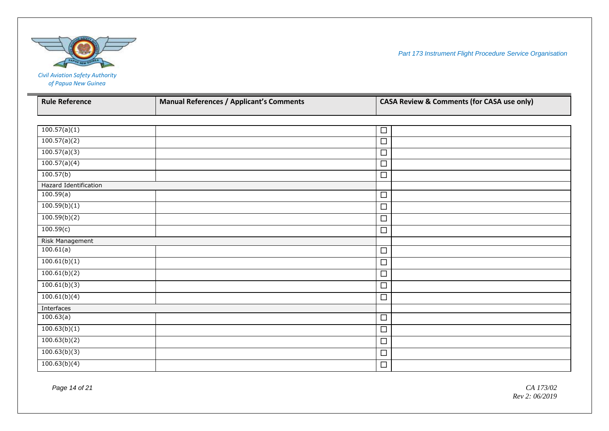

*of Papua New Guinea*

**College** 

| <b>Rule Reference</b> | <b>Manual References / Applicant's Comments</b> | <b>CASA Review &amp; Comments (for CASA use only)</b> |  |
|-----------------------|-------------------------------------------------|-------------------------------------------------------|--|
|                       |                                                 |                                                       |  |
|                       |                                                 |                                                       |  |
| 100.57(a)(1)          |                                                 | $\Box$                                                |  |
| 100.57(a)(2)          |                                                 | $\Box$                                                |  |
| 100.57(a)(3)          |                                                 | $\Box$                                                |  |
| 100.57(a)(4)          |                                                 | $\Box$                                                |  |
| 100.57(b)             |                                                 | $\Box$                                                |  |
| Hazard Identification |                                                 |                                                       |  |
| 100.59(a)             |                                                 | $\Box$                                                |  |
| 100.59(b)(1)          |                                                 | $\Box$                                                |  |
| 100.59(b)(2)          |                                                 | $\Box$                                                |  |
| 100.59(c)             |                                                 | $\Box$                                                |  |
| Risk Management       |                                                 |                                                       |  |
| 100.61(a)             |                                                 | $\Box$                                                |  |
| 100.61(b)(1)          |                                                 | $\Box$                                                |  |
| 100.61(b)(2)          |                                                 | $\Box$                                                |  |
| 100.61(b)(3)          |                                                 | $\Box$                                                |  |
| 100.61(b)(4)          |                                                 | $\Box$                                                |  |
| Interfaces            |                                                 |                                                       |  |
| 100.63(a)             |                                                 | $\Box$                                                |  |
| 100.63(b)(1)          |                                                 | $\Box$                                                |  |
| 100.63(b)(2)          |                                                 | $\Box$                                                |  |
| 100.63(b)(3)          |                                                 | $\Box$                                                |  |
| 100.63(b)(4)          |                                                 | $\Box$                                                |  |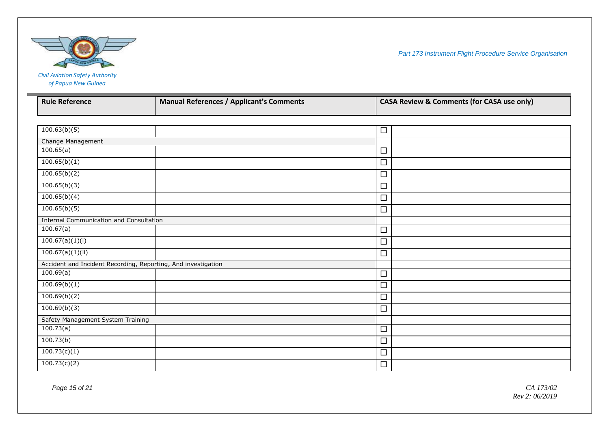

| <b>Civil Aviation Safety Authority</b> |
|----------------------------------------|
| of Papua New Guinea                    |

| <b>Rule Reference</b>                                         | <b>Manual References / Applicant's Comments</b> | <b>CASA Review &amp; Comments (for CASA use only)</b> |  |
|---------------------------------------------------------------|-------------------------------------------------|-------------------------------------------------------|--|
|                                                               |                                                 |                                                       |  |
| 100.63(b)(5)                                                  |                                                 | $\Box$                                                |  |
| Change Management                                             |                                                 |                                                       |  |
| 100.65(a)                                                     |                                                 | $\Box$                                                |  |
| 100.65(b)(1)                                                  |                                                 | $\Box$                                                |  |
| 100.65(b)(2)                                                  |                                                 | □                                                     |  |
| 100.65(b)(3)                                                  |                                                 | $\Box$                                                |  |
| 100.65(b)(4)                                                  |                                                 | $\Box$                                                |  |
| 100.65(b)(5)                                                  |                                                 | $\Box$                                                |  |
| <b>Internal Communication and Consultation</b>                |                                                 |                                                       |  |
| 100.67(a)                                                     |                                                 | $\Box$                                                |  |
| 100.67(a)(1)(i)                                               |                                                 | $\Box$                                                |  |
| 100.67(a)(1)(ii)                                              |                                                 | $\Box$                                                |  |
| Accident and Incident Recording, Reporting, And investigation |                                                 |                                                       |  |
| 100.69(a)                                                     |                                                 | $\Box$                                                |  |
| 100.69(b)(1)                                                  |                                                 | $\Box$                                                |  |
| 100.69(b)(2)                                                  |                                                 | $\Box$                                                |  |
| 100.69(b)(3)                                                  |                                                 | $\Box$                                                |  |
| Safety Management System Training                             |                                                 |                                                       |  |
| 100.73(a)                                                     |                                                 | $\Box$                                                |  |
| 100.73(b)                                                     |                                                 | $\Box$                                                |  |
| 100.73(c)(1)                                                  |                                                 | $\Box$                                                |  |
| $\frac{100.73(c)}{2}$                                         |                                                 | $\Box$                                                |  |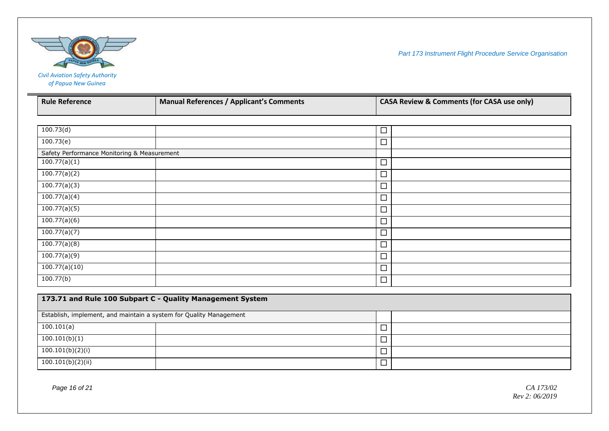

## *Civil Aviation Safety Authority of Papua New Guinea*

**COL** 

| <b>Rule Reference</b>                                              | <b>Manual References / Applicant's Comments</b>           | <b>CASA Review &amp; Comments (for CASA use only)</b> |  |
|--------------------------------------------------------------------|-----------------------------------------------------------|-------------------------------------------------------|--|
|                                                                    |                                                           |                                                       |  |
| 100.73(d)                                                          |                                                           | $\Box$                                                |  |
| $\overline{100.73(e)}$                                             |                                                           | $\Box$                                                |  |
| Safety Performance Monitoring & Measurement                        |                                                           |                                                       |  |
| 100.77(a)(1)                                                       |                                                           | $\Box$                                                |  |
| 100.77(a)(2)                                                       |                                                           | $\Box$                                                |  |
| 100.77(a)(3)                                                       |                                                           | $\Box$                                                |  |
| 100.77(a)(4)                                                       |                                                           | $\Box$                                                |  |
| 100.77(a)(5)                                                       |                                                           | $\Box$                                                |  |
| 100.77(a)(6)                                                       |                                                           | $\Box$                                                |  |
| 100.77(a)(7)                                                       |                                                           | $\Box$                                                |  |
| 100.77(a)(8)                                                       |                                                           | $\Box$                                                |  |
| 100.77(a)(9)                                                       |                                                           | $\Box$                                                |  |
| 100.77(a)(10)                                                      |                                                           | $\Box$                                                |  |
| $\overline{100.77}$ (b)                                            |                                                           | $\Box$                                                |  |
|                                                                    |                                                           |                                                       |  |
|                                                                    | 173.71 and Rule 100 Subpart C - Quality Management System |                                                       |  |
| Establish, implement, and maintain a system for Quality Management |                                                           |                                                       |  |
| 100.101(a)                                                         |                                                           | $\Box$                                                |  |
| 100.101(b)(1)                                                      |                                                           | $\Box$                                                |  |
| 100.101(b)(2)(i)                                                   |                                                           | $\Box$                                                |  |
| 100.101(b)(2)(ii)                                                  |                                                           | $\Box$                                                |  |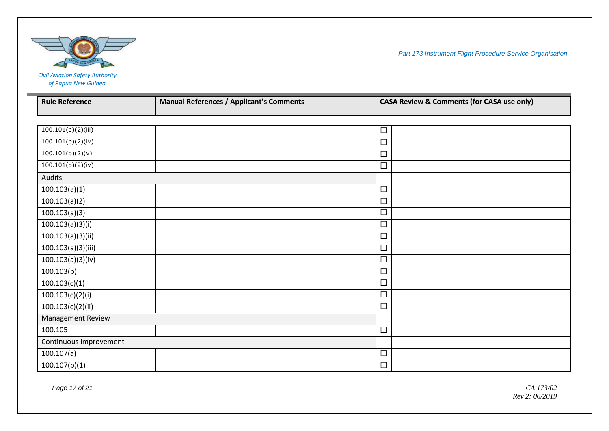

 $\mathbb{R}^n$ 

*Part 173 Instrument Flight Procedure Service Organisation*

# *Civil Aviation Safety Authority of Papua New Guinea* **Rule Reference Manual References / Applicant's Comments CASA Review & Comments (for CASA use only)**

| <b>NUIL VEILLE</b>     | <b>IVIAIIUAI References / Applicant S Comments</b> |        | CASA Neview & Comments (for CASA use Only) |
|------------------------|----------------------------------------------------|--------|--------------------------------------------|
|                        |                                                    |        |                                            |
| 100.101(b)(2)(iii)     |                                                    | $\Box$ |                                            |
| 100.101(b)(2)(iv)      |                                                    | $\Box$ |                                            |
| 100.101(b)(2)(v)       |                                                    | $\Box$ |                                            |
| 100.101(b)(2)(iv)      |                                                    | $\Box$ |                                            |
| Audits                 |                                                    |        |                                            |
| 100.103(a)(1)          |                                                    | $\Box$ |                                            |
| 100.103(a)(2)          |                                                    | $\Box$ |                                            |
| 100.103(a)(3)          |                                                    | $\Box$ |                                            |
| 100.103(a)(3)(i)       |                                                    | $\Box$ |                                            |
| 100.103(a)(3)(ii)      |                                                    | $\Box$ |                                            |
| 100.103(a)(3)(iii)     |                                                    | $\Box$ |                                            |
| 100.103(a)(3)(iv)      |                                                    | $\Box$ |                                            |
| 100.103(b)             |                                                    | $\Box$ |                                            |
| 100.103(c)(1)          |                                                    | $\Box$ |                                            |
| 100.103(c)(2)(i)       |                                                    | $\Box$ |                                            |
| 100.103(c)(2)(ii)      |                                                    | $\Box$ |                                            |
| Management Review      |                                                    |        |                                            |
| 100.105                |                                                    | $\Box$ |                                            |
| Continuous Improvement |                                                    |        |                                            |
| 100.107(a)             |                                                    | $\Box$ |                                            |
| 100.107(b)(1)          |                                                    | $\Box$ |                                            |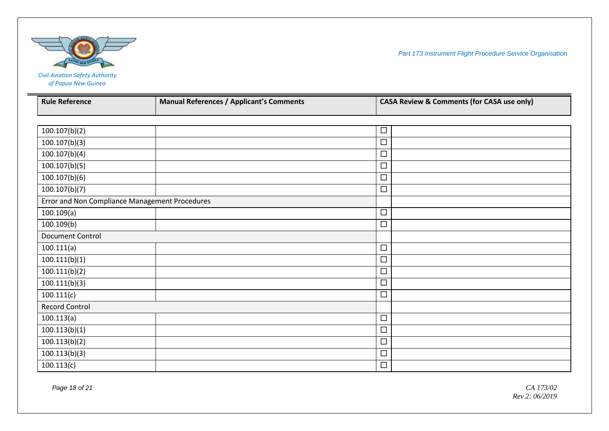

*of Papua New Guinea*

| <b>Rule Reference</b>                          | <b>Manual References / Applicant's Comments</b> | <b>CASA Review &amp; Comments (for CASA use only)</b> |  |
|------------------------------------------------|-------------------------------------------------|-------------------------------------------------------|--|
|                                                |                                                 |                                                       |  |
| 100.107(b)(2)                                  |                                                 | □                                                     |  |
| 100.107(b)(3)                                  |                                                 | □                                                     |  |
| 100.107(b)(4)                                  |                                                 | $\Box$                                                |  |
| 100.107(b)(5)                                  |                                                 | $\Box$                                                |  |
| 100.107(b)(6)                                  |                                                 | □                                                     |  |
| 100.107(b)(7)                                  |                                                 | $\Box$                                                |  |
| Error and Non Compliance Management Procedures |                                                 |                                                       |  |
| 100.109(a)                                     |                                                 | $\Box$                                                |  |
| 100.109(b)                                     |                                                 | $\Box$                                                |  |
| <b>Document Control</b>                        |                                                 |                                                       |  |
| 100.111(a)                                     |                                                 | $\Box$                                                |  |
| 100.111(b)(1)                                  |                                                 | $\Box$                                                |  |
| 100.111(b)(2)                                  |                                                 | $\Box$                                                |  |
| 100.111(b)(3)                                  |                                                 | □                                                     |  |
| 100.111(c)                                     |                                                 | □                                                     |  |
| <b>Record Control</b>                          |                                                 |                                                       |  |
| 100.113(a)                                     |                                                 | $\Box$                                                |  |
| 100.113(b)(1)                                  |                                                 | $\Box$                                                |  |
| 100.113(b)(2)                                  |                                                 | $\Box$                                                |  |
| 100.113(b)(3)                                  |                                                 | □                                                     |  |
| 100.113(c)                                     |                                                 | $\Box$                                                |  |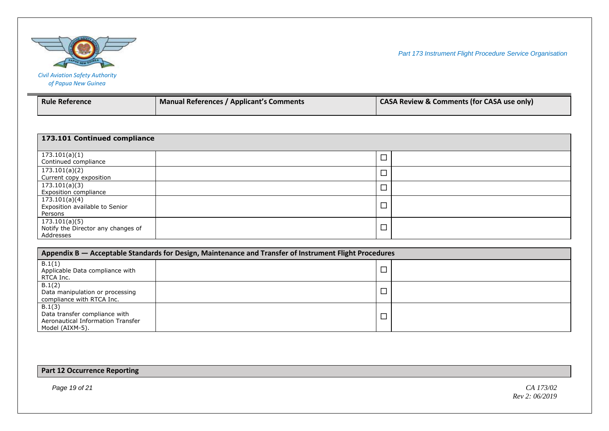

| <b>Civil Aviation Safety Authority</b> |
|----------------------------------------|
| of Papua New Guinea                    |

| <b>Rule Reference</b> | <b>Manual References / Applicant's Comments</b> | <b>CASA Review &amp; Comments (for CASA use only)</b> |
|-----------------------|-------------------------------------------------|-------------------------------------------------------|
|-----------------------|-------------------------------------------------|-------------------------------------------------------|

| 173.101 Continued compliance                                     |  |        |  |
|------------------------------------------------------------------|--|--------|--|
| 173.101(a)(1)<br>Continued compliance                            |  | $\Box$ |  |
| 173.101(a)(2)<br>Current copy exposition                         |  | $\Box$ |  |
| 173.101(a)(3)<br>Exposition compliance                           |  | $\Box$ |  |
| 173.101(a)(4)<br>Exposition available to Senior<br>Persons       |  | $\Box$ |  |
| 173.101(a)(5)<br>Notify the Director any changes of<br>Addresses |  | $\Box$ |  |

| Appendix B — Acceptable Standards for Design, Maintenance and Transfer of Instrument Flight Procedures |  |        |  |
|--------------------------------------------------------------------------------------------------------|--|--------|--|
| B.1(1)<br>Applicable Data compliance with<br>RTCA Inc.                                                 |  | $\Box$ |  |
| B.1(2)<br>Data manipulation or processing<br>compliance with RTCA Inc.                                 |  | $\Box$ |  |
| B.1(3)<br>Data transfer compliance with<br>Aeronautical Information Transfer<br>Model (AIXM-5).        |  |        |  |

**Part 12 Occurrence Reporting**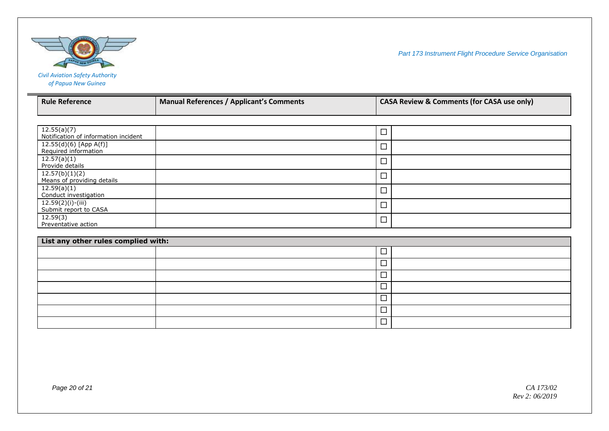

| <b>Rule Reference</b>                | <b>Manual References / Applicant's Comments</b> |        | <b>CASA Review &amp; Comments (for CASA use only)</b> |
|--------------------------------------|-------------------------------------------------|--------|-------------------------------------------------------|
|                                      |                                                 |        |                                                       |
|                                      |                                                 |        |                                                       |
| 12.55(a)(7)                          |                                                 | $\Box$ |                                                       |
| Notification of information incident |                                                 |        |                                                       |
| 12.55(d)(6) [App A(f)]               |                                                 | $\Box$ |                                                       |
| Required information                 |                                                 |        |                                                       |
| 12.57(a)(1)                          |                                                 | $\Box$ |                                                       |
| Provide details                      |                                                 |        |                                                       |
| 12.57(b)(1)(2)                       |                                                 | $\Box$ |                                                       |
| Means of providing details           |                                                 |        |                                                       |
| 12.59(a)(1)                          |                                                 | $\Box$ |                                                       |
| Conduct investigation                |                                                 |        |                                                       |
| $12.59(2)(i)-(iii)$                  |                                                 | $\Box$ |                                                       |
| Submit report to CASA                |                                                 |        |                                                       |
| 12.59(3)                             |                                                 | $\Box$ |                                                       |
| Preventative action                  |                                                 |        |                                                       |
|                                      |                                                 |        |                                                       |

| List any other rules complied with: |        |  |  |
|-------------------------------------|--------|--|--|
|                                     |        |  |  |
|                                     |        |  |  |
|                                     |        |  |  |
|                                     | –      |  |  |
|                                     | −<br>_ |  |  |
|                                     |        |  |  |
|                                     |        |  |  |